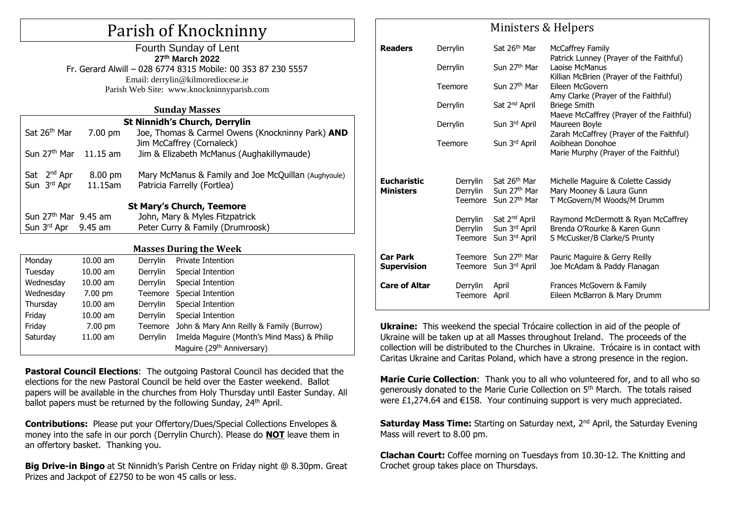# Parish of Knockninny

| Fourth Sunday of Lent                                        |  |  |  |  |  |
|--------------------------------------------------------------|--|--|--|--|--|
| 27th March 2022                                              |  |  |  |  |  |
| Fr. Gerard Alwill - 028 6774 8315 Mobile: 00 353 87 230 5557 |  |  |  |  |  |
| Email: derrylin@kilmorediocese.ie                            |  |  |  |  |  |
| Parish Web Site: www.knockninnyparish.com                    |  |  |  |  |  |

#### **Sunday Masses**

| <b>St Ninnidh's Church, Derrylin</b> |            |                                                                        |                            |  |  |  |
|--------------------------------------|------------|------------------------------------------------------------------------|----------------------------|--|--|--|
| Sat 26 <sup>th</sup> Mar             | $7.00$ pm  | Joe, Thomas & Carmel Owens (Knockninny Park) AND                       |                            |  |  |  |
| Sun 27 <sup>th</sup> Mar             | $11.15$ am | Jim McCaffrey (Cornaleck)<br>Jim & Elizabeth McManus (Aughakillymaude) |                            |  |  |  |
|                                      |            |                                                                        |                            |  |  |  |
| Sat 2 <sup>nd</sup> Apr              | 8.00 pm    | Mary McManus & Family and Joe McQuillan (Aughyoule)                    |                            |  |  |  |
| Sun 3 <sup>rd</sup> Apr              | 11.15am    | Patricia Farrelly (Fortlea)                                            |                            |  |  |  |
|                                      |            |                                                                        |                            |  |  |  |
| <b>St Mary's Church, Teemore</b>     |            |                                                                        |                            |  |  |  |
| Sun 27 <sup>th</sup> Mar 9.45 am     |            | John, Mary & Myles Fitzpatrick                                         |                            |  |  |  |
| Sun $3rd$ Apr 9.45 am                |            | Peter Curry & Family (Drumroosk)                                       |                            |  |  |  |
|                                      |            |                                                                        |                            |  |  |  |
| <b>Masses During the Week</b>        |            |                                                                        |                            |  |  |  |
| Monday                               | $10.00$ am |                                                                        | Derrylin Private Intention |  |  |  |
| Tuesday                              | $10.00$ am |                                                                        | Derrylin Special Intention |  |  |  |
| Wednesday                            | $10.00$ am | Derrylin                                                               | Special Intention          |  |  |  |
| Wednesday                            | 7.00 pm    | Teemore                                                                | Special Intention          |  |  |  |
| Thursday                             | $10.00$ am | Derrylin                                                               | Special Intention          |  |  |  |
| Friday                               | $10.00$ am | Derrylin                                                               | Special Intention          |  |  |  |

Friday 7.00 pm Teemore John & Mary Ann Reilly & Family (Burrow) Saturday 11.00 am Derrylin Imelda Maguire (Month's Mind Mass) & Philip Maguire (29<sup>th</sup> Anniversary)

**Pastoral Council Elections**: The outgoing Pastoral Council has decided that the elections for the new Pastoral Council be held over the Easter weekend. Ballot papers will be available in the churches from Holy Thursday until Easter Sunday. All ballot papers must be returned by the following Sunday, 24<sup>th</sup> April.

**Contributions:** Please put your Offertory/Dues/Special Collections Envelopes & money into the safe in our porch (Derrylin Church). Please do **NOT** leave them in an offertory basket. Thanking you.

**Big Drive-in Bingo** at St Ninnidh's Parish Centre on Friday night @ 8.30pm. Great Prizes and Jackpot of £2750 to be won 45 calls or less.

| MINISICIS & HEIPELS                    |                                 |                                                                              |                                                                                                    |  |  |  |
|----------------------------------------|---------------------------------|------------------------------------------------------------------------------|----------------------------------------------------------------------------------------------------|--|--|--|
| <b>Readers</b>                         | Derrylin                        | Sat 26 <sup>th</sup> Mar                                                     | <b>McCaffrey Family</b><br>Patrick Lunney (Prayer of the Faithful)                                 |  |  |  |
|                                        | Derrylin                        | Sun 27 <sup>th</sup> Mar                                                     | Laoise McManus<br>Killian McBrien (Prayer of the Faithful)                                         |  |  |  |
|                                        | Teemore                         | Sun 27 <sup>th</sup> Mar                                                     | Eileen McGovern<br>Amy Clarke (Prayer of the Faithful)                                             |  |  |  |
|                                        | Derrylin                        | Sat 2 <sup>nd</sup> April                                                    | <b>Briege Smith</b><br>Maeve McCaffrey (Prayer of the Faithful)                                    |  |  |  |
|                                        | Derrylin                        | Sun 3rd April                                                                | Maureen Boyle<br>Zarah McCaffrey (Prayer of the Faithful)                                          |  |  |  |
|                                        | Teemore                         | Sun 3rd April                                                                | Aoibhean Donohoe<br>Marie Murphy (Prayer of the Faithful)                                          |  |  |  |
|                                        |                                 |                                                                              |                                                                                                    |  |  |  |
| <b>Eucharistic</b><br><b>Ministers</b> | Derrylin<br>Derrylin            | Sat 26 <sup>th</sup> Mar<br>Sun 27 <sup>th</sup> Mar<br>Teemore Sun 27th Mar | Michelle Maguire & Colette Cassidy<br>Mary Mooney & Laura Gunn<br>T McGovern/M Woods/M Drumm       |  |  |  |
|                                        | Derrylin<br>Derrylin<br>Teemore | Sat 2 <sup>nd</sup> April<br>Sun 3rd April<br>Sun 3rd April                  | Raymond McDermott & Ryan McCaffrey<br>Brenda O'Rourke & Karen Gunn<br>S McCusker/B Clarke/S Prunty |  |  |  |
| <b>Car Park</b><br><b>Supervision</b>  | Teemore<br>Teemore              | Sun 27 <sup>th</sup> Mar<br>Sun 3rd April                                    | Pauric Maguire & Gerry Reilly<br>Joe McAdam & Paddy Flanagan                                       |  |  |  |
| <b>Care of Altar</b>                   | Derrylin<br>Teemore             | April<br>April                                                               | Frances McGovern & Family<br>Eileen McBarron & Mary Drumm                                          |  |  |  |

Ministors & Holpers

**Ukraine:** This weekend the special Trócaire collection in aid of the people of Ukraine will be taken up at all Masses throughout Ireland. The proceeds of the collection will be distributed to the Churches in Ukraine. Trócaire is in contact with Caritas Ukraine and Caritas Poland, which have a strong presence in the region.

**Marie Curie Collection**: Thank you to all who volunteered for, and to all who so generously donated to the Marie Curie Collection on 5<sup>th</sup> March. The totals raised were £1,274.64 and  $E$ 158. Your continuing support is very much appreciated.

Saturday Mass Time: Starting on Saturday next, 2<sup>nd</sup> April, the Saturday Evening Mass will revert to 8.00 pm.

**Clachan Court:** Coffee morning on Tuesdays from 10.30-12. The Knitting and Crochet group takes place on Thursdays.